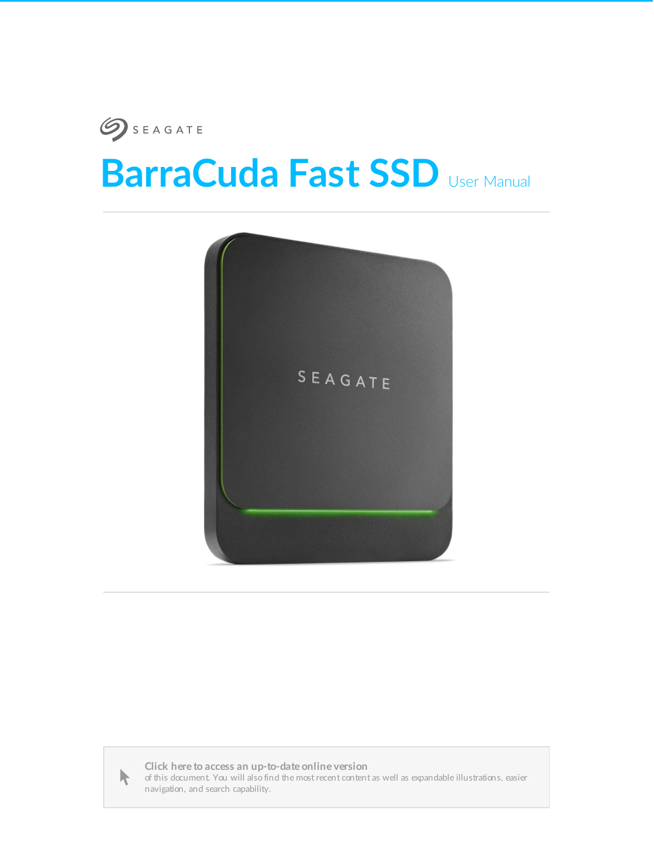

# **BarraCuda Fast SSD** User Manual





Click here to access an [up-to-date](https://www.seagate.com/manuals/barracuda-fast-ssd/) online version<br>of this document. You will also find the most recent content as well as expandable illustrations, easier<br>navigation, and search capability.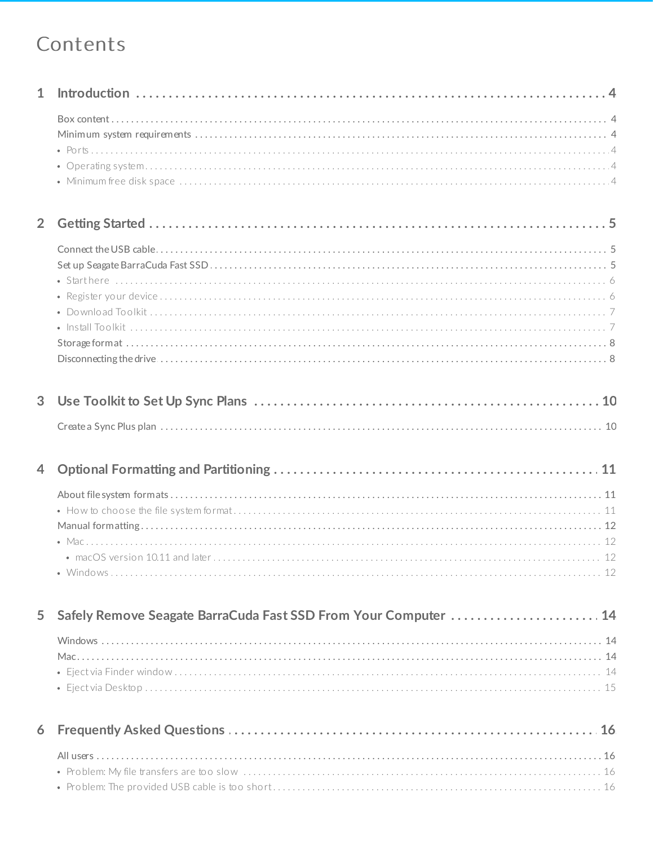## Contents

| $\mathbf{1}$   |                                                                 |
|----------------|-----------------------------------------------------------------|
|                |                                                                 |
| $\overline{2}$ |                                                                 |
|                |                                                                 |
| 3              |                                                                 |
|                |                                                                 |
| $\overline{4}$ |                                                                 |
|                |                                                                 |
| 5              | Safely Remove Seagate BarraCuda Fast SSD From Your Computer  14 |
|                |                                                                 |
| 6              |                                                                 |
|                | $\bullet$ Problem: The provided USB cable is too short<br>16    |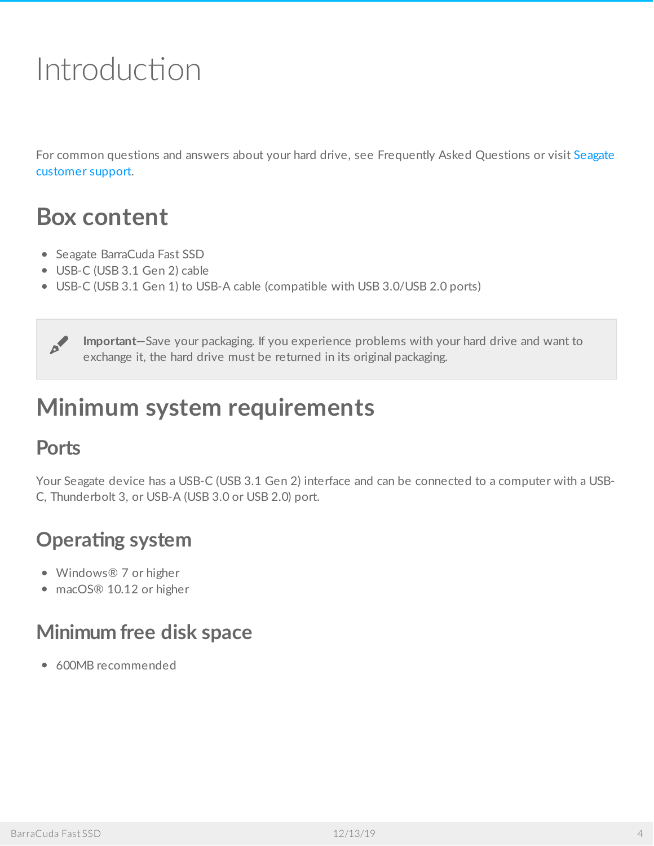# <span id="page-3-0"></span>Introduction

For common questions and answers about your hard drive, see [Frequently](http://www.seagate.com/support/barracuda-fast-ssd) Asked Questions or visit Seagate customer support.

## <span id="page-3-1"></span>**Box content**

- Seagate BarraCuda Fast SSD
- USB-C (USB 3.1 Gen 2) cable
- USB-C (USB 3.1 Gen 1) to USB-A cable (compatible with USB 3.0/USB 2.0 ports)

**Important**—Save your packaging. If you experience problems with your hard drive and want to exchange it, the hard drive must be returned in its original packaging.

# <span id="page-3-2"></span>**Minimum system requirements**

### <span id="page-3-3"></span>**Ports**

Your Seagate device has a USB-C (USB 3.1 Gen 2) interface and can be connected to a computer with a USB-C, Thunderbolt 3, or USB-A (USB 3.0 or USB 2.0) port.

### <span id="page-3-4"></span>**Operating** system

- Windows<sup>®</sup> 7 or higher
- macOS® 10.12 or higher

### <span id="page-3-5"></span>**Minimum free disk space**

600MB recommended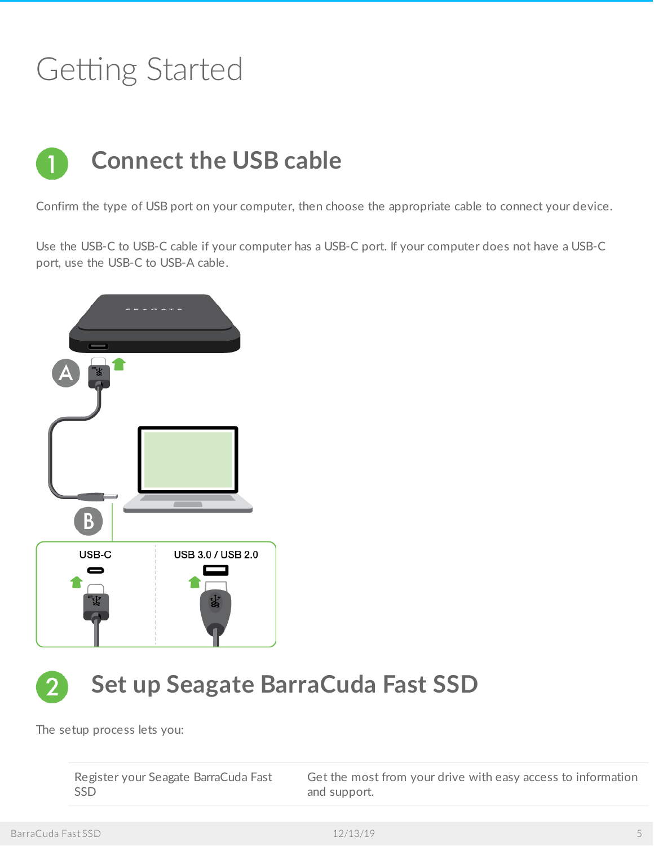# <span id="page-4-0"></span>Getting Started

<span id="page-4-1"></span>

Confirm the type of USB port on your computer, then choose the appropriate cable to connect your device.

Use the USB-C to USB-C cable if your computer has a USB-C port. If your computer does not have a USB-C port, use the USB-C to USB-A cable.



# <span id="page-4-2"></span>**Set up Seagate BarraCuda Fast SSD**

The setup process lets you:

| Register your Seagate BarraCuda Fast | Get the most from your drive with easy access to information |
|--------------------------------------|--------------------------------------------------------------|
| - SSD                                | and support.                                                 |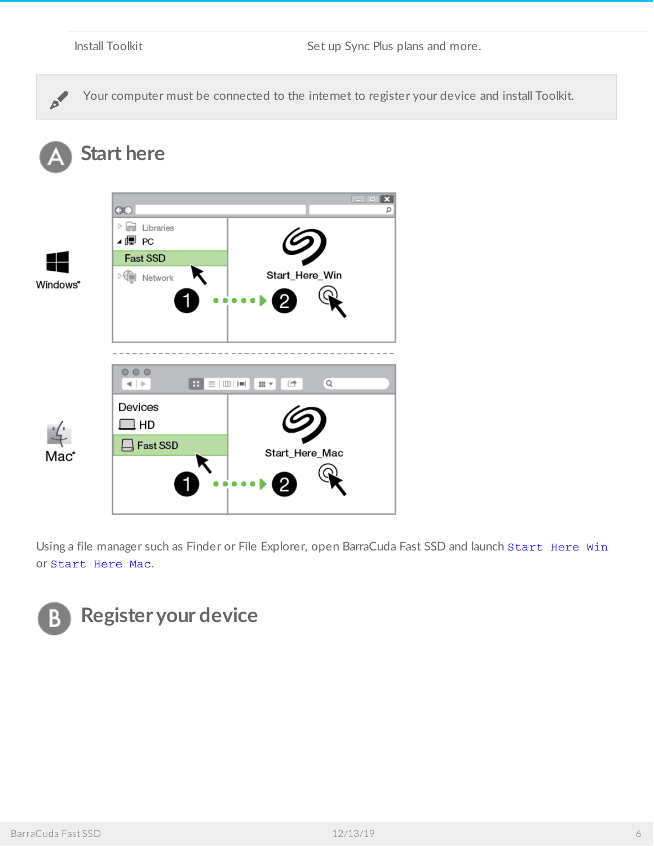<span id="page-5-0"></span>

|                      | <b>Install Toolkit</b>                                                                                           | Set up Sync Plus plans and more.                                                                            |
|----------------------|------------------------------------------------------------------------------------------------------------------|-------------------------------------------------------------------------------------------------------------|
|                      |                                                                                                                  | Your computer must be connected to the internet to register your device and install Toolkit.                |
|                      | <b>Start here</b>                                                                                                |                                                                                                             |
| Windows <sup>®</sup> | $\circledcirc$<br>$\triangleright$ $\Box$ Libraries<br>⊿厚 PC<br>Fast SSD<br>$\triangleright$ $\bigoplus$ Network | $\blacksquare$ $\blacksquare$ $\mathbf{x}$ )<br>Ω<br>Start_Here_Win<br>$\bullet\bullet\bullet\bullet$       |
| Mac                  | $\circ\circ\circ$<br>$\leftarrow$   $\leftarrow$<br>Devices<br>HD.                                               | $\boxed{H} \equiv  \mathbf{m}   \mathbf{m} $<br>田人<br>$\alpha$<br>☞<br>$\exists$ Fast SSD<br>Start_Here_Mac |

Using a file manager such as Finder or File Explorer, open BarraCuda Fast SSD and launch Start Here Win or Start Here Mac.

<span id="page-5-1"></span>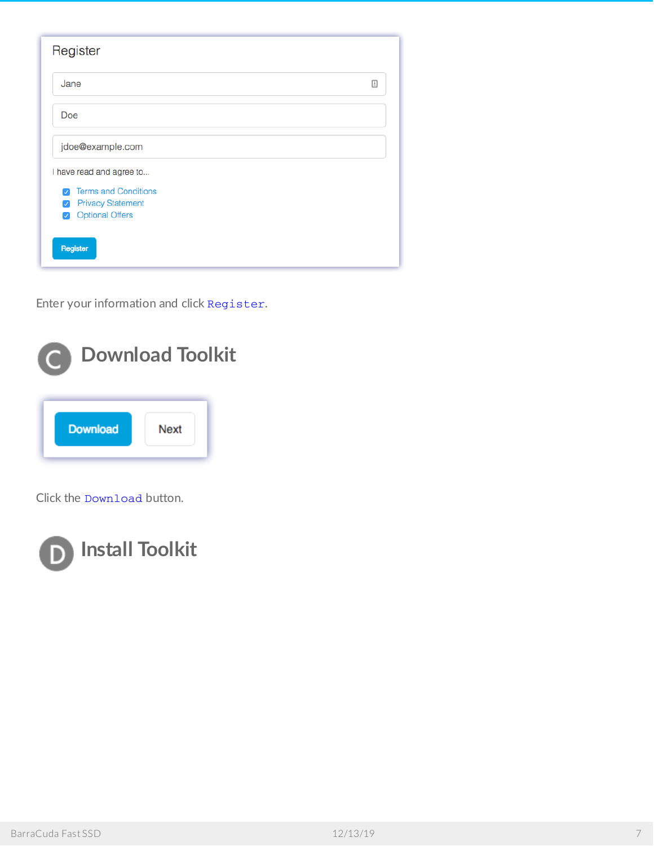| Register                                  |  |
|-------------------------------------------|--|
| Jane                                      |  |
| Doe                                       |  |
| jdoe@example.com                          |  |
| I have read and agree to                  |  |
| <b>Terms and Conditions</b><br>V          |  |
| <b>Privacy Statement</b><br>$\mathcal{A}$ |  |
| <b>Optional Offers</b><br>$\mathcal{A}$   |  |
| Register                                  |  |

Enter your information and click Register.

<span id="page-6-0"></span>

Click the Download button.

<span id="page-6-1"></span>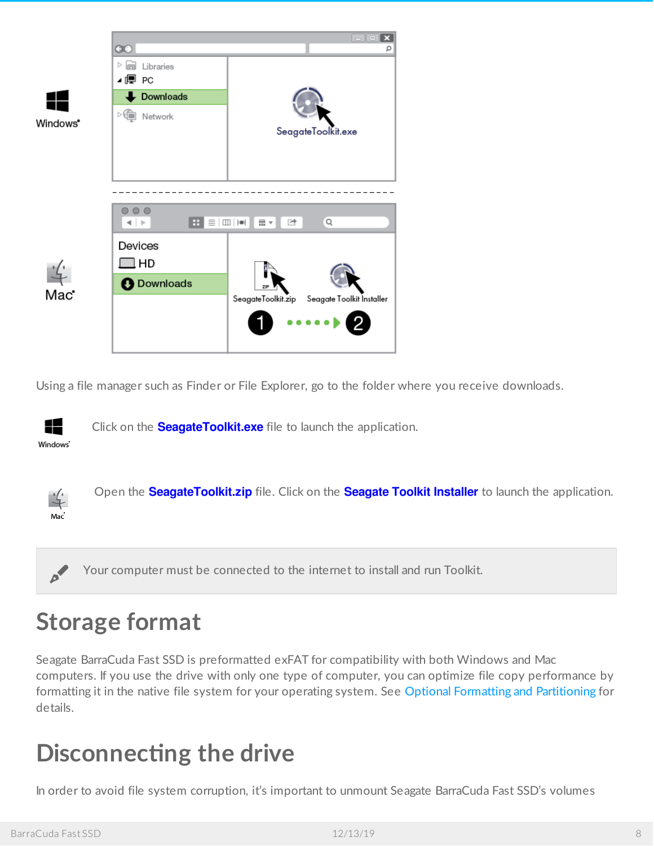

Using a file manager such as Finder or File Explorer, go to the folder where you receive downloads.



Click on the **SeagateToolkit.exe** file to launch the application.



Open the **SeagateToolkit.zip** file. Click on the **Seagate Toolkit Installer** to launch the application.

Your computer must be connected to the internet to install and run Toolkit.

# <span id="page-7-0"></span>**Storage format**

Seagate BarraCuda Fast SSD is preformatted exFAT for compatibility with both Windows and Mac computers. If you use the drive with only one type of computer, you can optimize file copy performance by formatting it in the native file system for your operating system. See Optional Formatting and [Partitioning](https://www.seagate.com/manuals/barracuda-fast-ssd/optional-formatting-and-partitioning/) for details.

## <span id="page-7-1"></span>**Disconnecting the drive**

In order to avoid file system corruption, it's important to unmount Seagate BarraCuda Fast SSD's volumes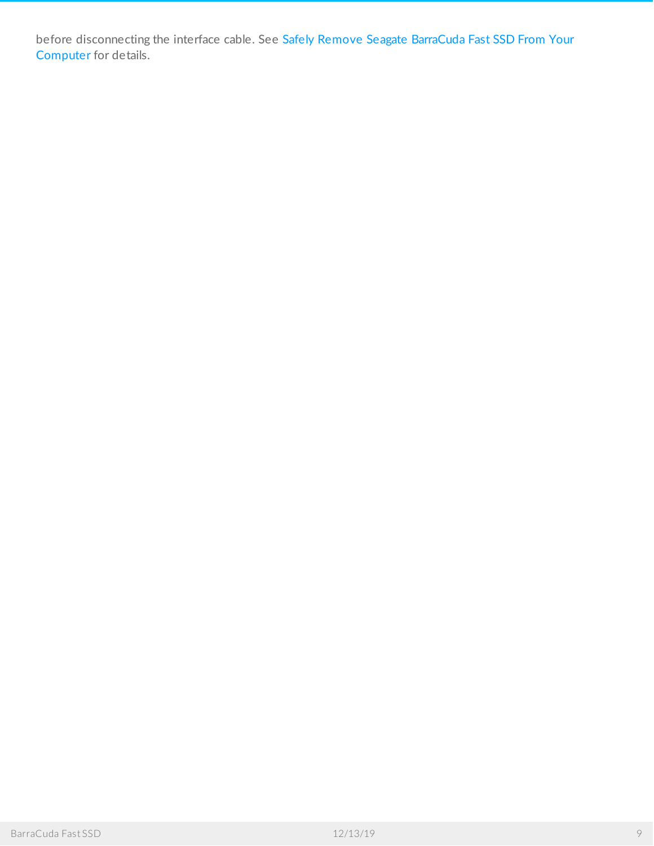before [disconnecting](https://www.seagate.com/manuals/barracuda-fast-ssd/safely-remove/) the interface cable. See Safely Remove Seagate BarraCuda Fast SSD From Your Computer for details.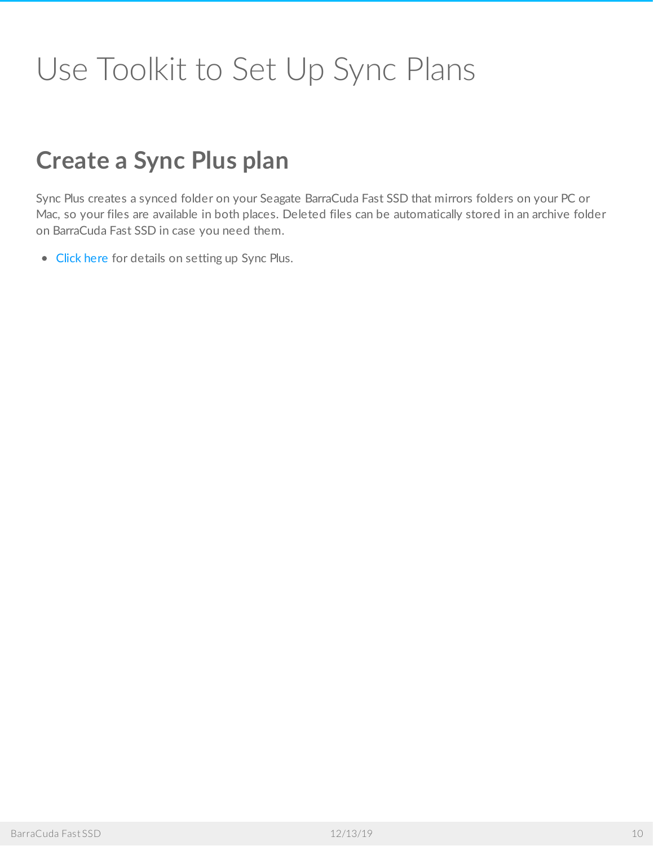# <span id="page-9-0"></span>Use Toolkit to Set Up Sync Plans

## <span id="page-9-1"></span>**Create a Sync Plus plan**

Sync Plus creates a synced folder on your Seagate BarraCuda Fast SSD that mirrors folders on your PC or Mac, so your files are available in both places. Deleted files can be automatically stored in an archive folder on BarraCuda Fast SSD in case you need them.

• [Click](https://www.seagate.com/manuals/software/toolkit/sync-plus/) here for details on setting up Sync Plus.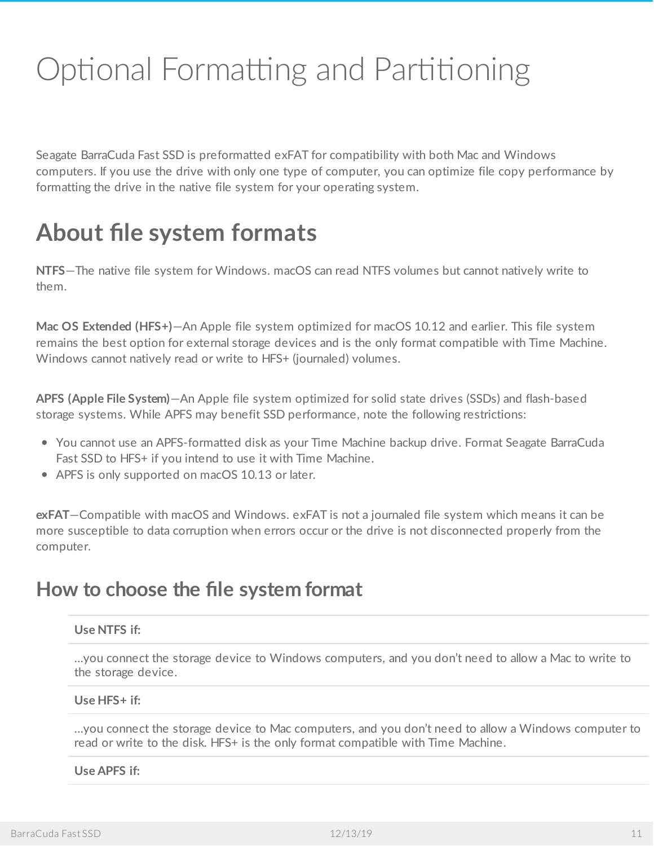# <span id="page-10-0"></span>Optional Formatting and Partitioning

Seagate BarraCuda Fast SSD is preformatted exFAT for compatibility with both Mac and Windows computers. If you use the drive with only one type of computer, you can optimize file copy performance by formatting the drive in the native file system for your operating system.

## <span id="page-10-1"></span>**About file system formats**

**NTFS**—The native file system for Windows. macOS can read NTFS volumes but cannot natively write to them.

**Mac OS Extended (HFS+)**—An Apple file system optimized for macOS 10.12 and earlier. This file system remains the best option for external storage devices and is the only format compatible with Time Machine. Windows cannot natively read or write to HFS+ (journaled) volumes.

**APFS (Apple File System)**—An Apple file system optimized for solid state drives (SSDs) and flash-based storage systems. While APFS may benefit SSD performance, note the following restrictions:

- You cannot use an APFS-formatted disk as your Time Machine backup drive. Format Seagate BarraCuda Fast SSD to HFS+ if you intend to use it with Time Machine.
- APFS is only supported on macOS 10.13 or later.

**exFAT**—Compatible with macOS and Windows. exFAT is not a journaled file system which means it can be more susceptible to data corruption when errors occur or the drive is not disconnected properly from the computer.

### <span id="page-10-2"></span>**How to choose the file system format**

#### **Use NTFS if:**

…you connect the storage device to Windows computers, and you don't need to allow a Mac to write to the storage device.

#### **Use HFS+ if:**

…you connect the storage device to Mac computers, and you don't need to allow a Windows computer to read or write to the disk. HFS+ is the only format compatible with Time Machine.

#### **Use APFS if:**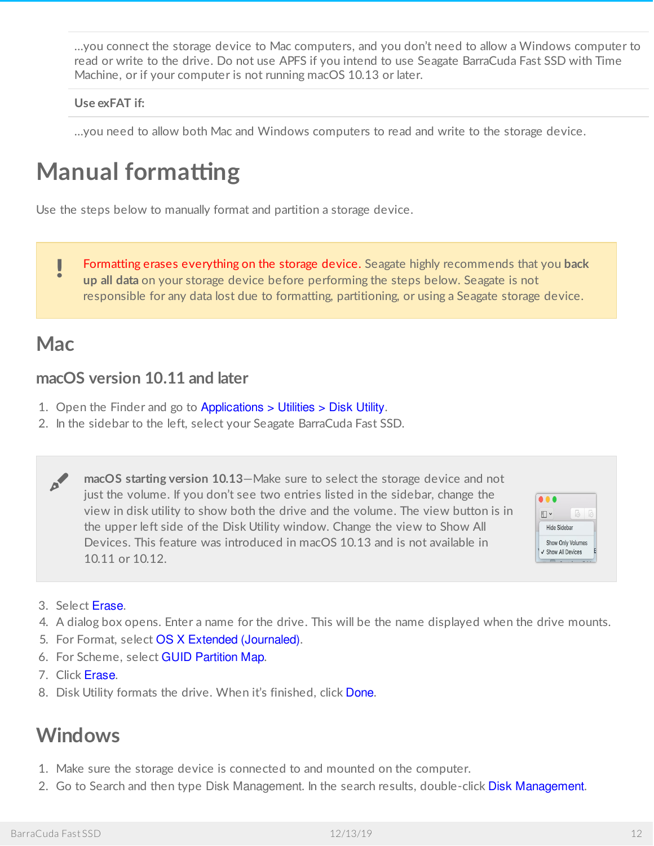…you connect the storage device to Mac computers, and you don't need to allow a Windows computer to read or write to the drive. Do not use APFS if you intend to use Seagate BarraCuda Fast SSD with Time Machine, or if your computer is not running macOS 10.13 or later.

#### **Use exFAT if:**

…you need to allow both Mac and Windows computers to read and write to the storage device.

# <span id="page-11-0"></span>**Manual formatting**

Use the steps below to manually format and partition a storage device.

Formatting erases everything on the storage device. Seagate highly recommends that you **back up all data** on your storage device before performing the steps below. Seagate is not responsible for any data lost due to formatting, partitioning, or using a Seagate storage device. ļ

### <span id="page-11-1"></span>**Mac**

#### <span id="page-11-2"></span>**macOS version 10.11 and later**

- 1. Open the Finder and go to Applications > Utilities > Disk Utility.
- 2. In the sidebar to the left, select your Seagate BarraCuda Fast SSD.

**macOS starting version 10.13**—Make sure to select the storage device and not just the volume. If you don't see two entries listed in the sidebar, change the view in disk utility to show both the drive and the volume. The view button is in the upper left side of the Disk Utility window. Change the view to Show All Devices. This feature was introduced in macOS 10.13 and is not available in 10.11 or 10.12. A



- 3. Select Erase.
- 4. A dialog box opens. Enter a name for the drive. This will be the name displayed when the drive mounts.
- 5. For Format, select OS X Extended (Journaled).
- 6. For Scheme, select GUID Partition Map.
- 7. Click Erase.
- 8. Disk Utility formats the drive. When it's finished, click Done.

### <span id="page-11-3"></span>**Windows**

- 1. Make sure the storage device is connected to and mounted on the computer.
- 2. Go to Search and then type Disk Management. In the search results, double-click Disk Management.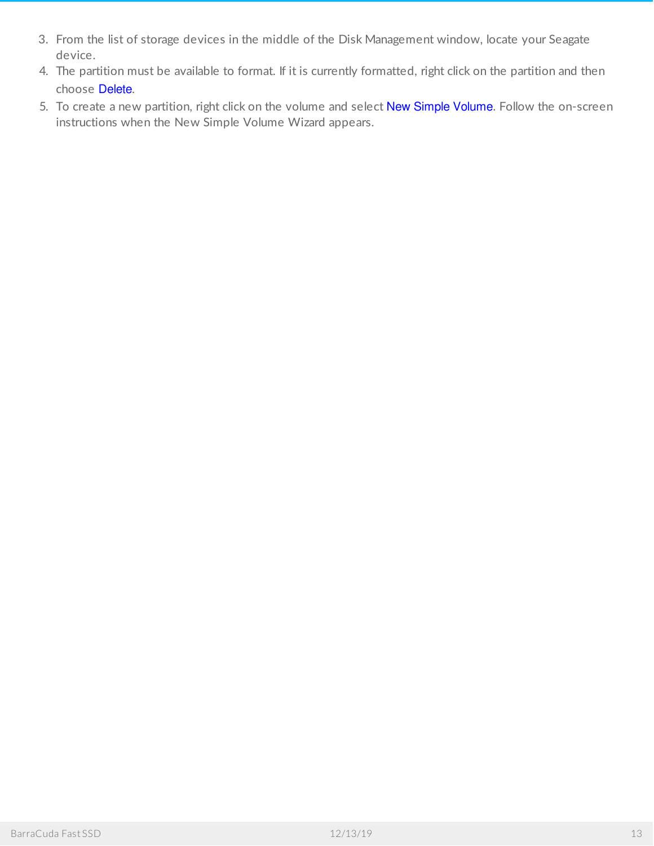- 3. From the list of storage devices in the middle of the Disk Management window, locate your Seagate device.
- 4. The partition must be available to format. If it is currently formatted, right click on the partition and then choose Delete.
- 5. To create a new partition, right click on the volume and select New Simple Volume. Follow the on-screen instructions when the New Simple Volume Wizard appears.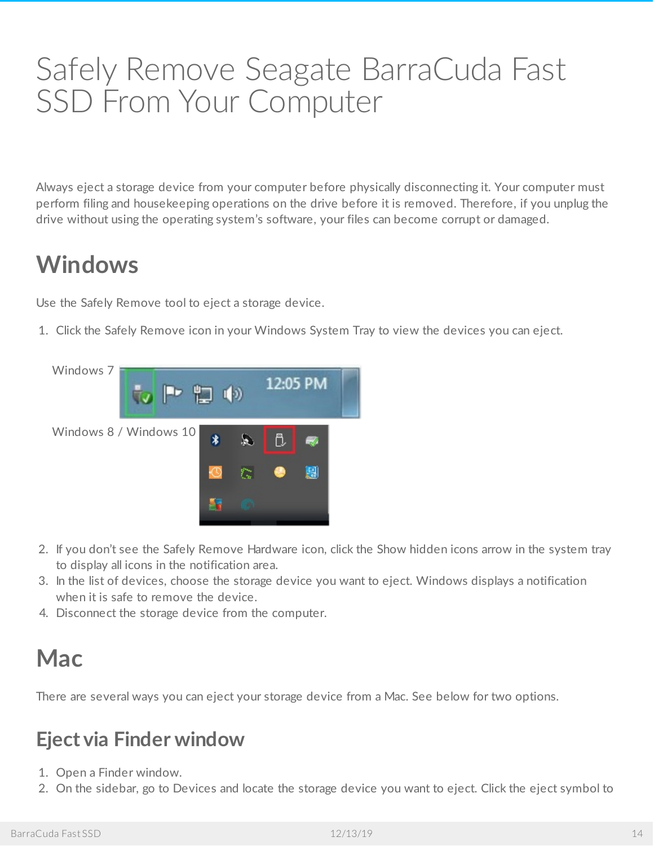# <span id="page-13-0"></span>Safely Remove Seagate BarraCuda Fast SSD From Your Computer

Always eject a storage device from your computer before physically disconnecting it. Your computer must perform filing and housekeeping operations on the drive before it is removed. Therefore, if you unplug the drive without using the operating system's software, your files can become corrupt or damaged.

# <span id="page-13-1"></span>**Windows**

Use the Safely Remove tool to eject a storage device.

1. Click the Safely Remove icon in your Windows System Tray to view the devices you can eject.



- 2. If you don't see the Safely Remove Hardware icon, click the Show hidden icons arrow in the system tray to display all icons in the notification area.
- 3. In the list of devices, choose the storage device you want to eject. Windows displays a notification when it is safe to remove the device.
- 4. Disconnect the storage device from the computer.

## <span id="page-13-2"></span>**Mac**

There are several ways you can eject your storage device from a Mac. See below for two options.

### <span id="page-13-3"></span>**Eject via Finder window**

- 1. Open a Finder window.
- 2. On the sidebar, go to Devices and locate the storage device you want to eject. Click the eject symbol to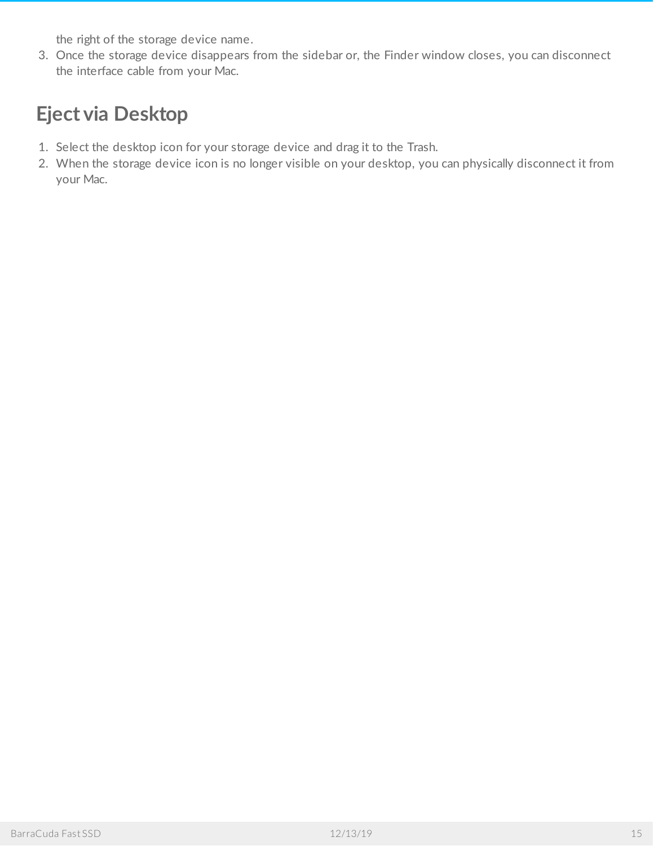the right of the storage device name.

3. Once the storage device disappears from the sidebar or, the Finder window closes, you can disconnect the interface cable from your Mac.

### <span id="page-14-0"></span>**Eject via Desktop**

- 1. Select the desktop icon for your storage device and drag it to the Trash.
- 2. When the storage device icon is no longer visible on your desktop, you can physically disconnect it from your Mac.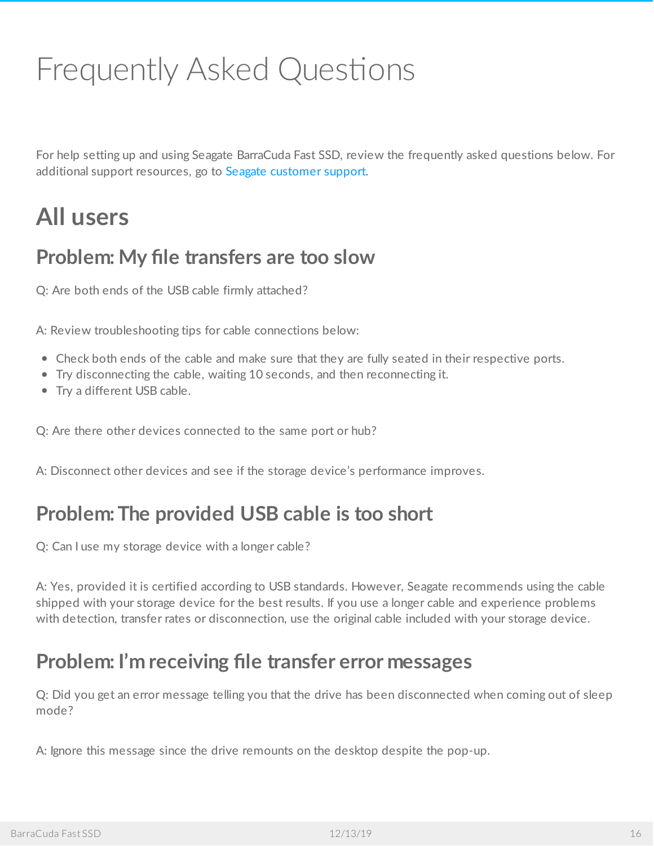# <span id="page-15-0"></span>Frequently Asked Questions

For help setting up and using Seagate BarraCuda Fast SSD, review the frequently asked questions below. For additional support resources, go to Seagate [customer](https:www.seagate.com/support/barracuda-fast-ssd/) support.

## <span id="page-15-1"></span>**All users**

### <span id="page-15-2"></span>**Problem: My file transfers are too slow**

Q: Are both ends of the USB cable firmly attached?

A: Review troubleshooting tips for cable connections below:

- Check both ends of the cable and make sure that they are fully seated in their respective ports.
- Try disconnecting the cable, waiting 10 seconds, and then reconnecting it.
- Try a different USB cable.

Q: Are there other devices connected to the same port or hub?

A: Disconnect other devices and see if the storage device's performance improves.

### <span id="page-15-3"></span>**Problem:The provided USB cable is too short**

Q: Can I use my storage device with a longer cable?

A: Yes, provided it is certified according to USB standards. However, Seagate recommends using the cable shipped with your storage device for the best results. If you use a longer cable and experience problems with detection, transfer rates or disconnection, use the original cable included with your storage device.

### <span id="page-15-4"></span>**Problem: I'm receiving file transfer error messages**

Q: Did you get an error message telling you that the drive has been disconnected when coming out of sleep mode?

A: Ignore this message since the drive remounts on the desktop despite the pop-up.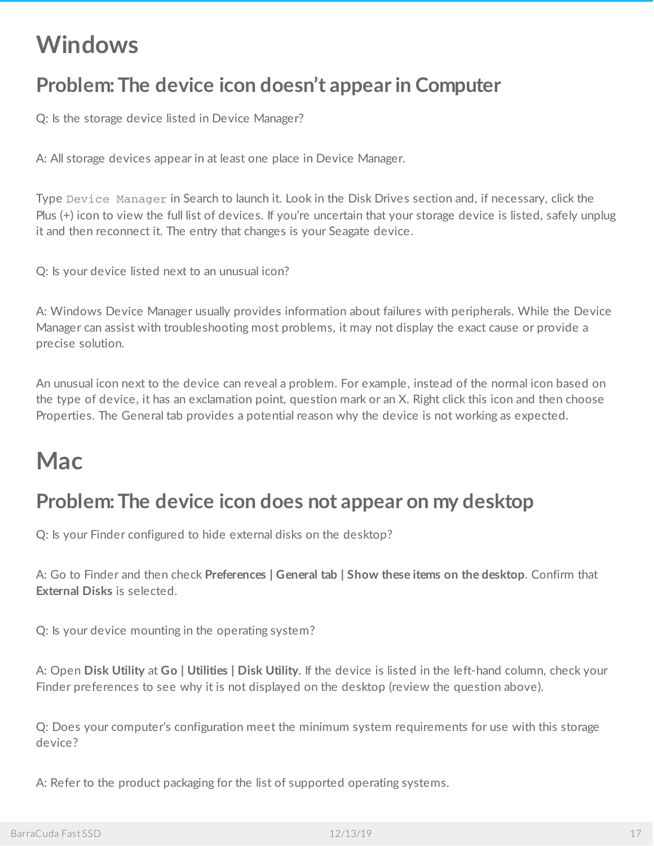## <span id="page-16-0"></span>**Windows**

### <span id="page-16-1"></span>**Problem:The device icon doesn't appear in Computer**

Q: Is the storage device listed in Device Manager?

A: All storage devices appear in at least one place in Device Manager.

Type Device Manager in Search to launch it. Look in the Disk Drives section and, if necessary, click the Plus (+) icon to view the full list of devices. If you're uncertain that your storage device is listed, safely unplug it and then reconnect it. The entry that changes is your Seagate device.

Q: Is your device listed next to an unusual icon?

A: Windows Device Manager usually provides information about failures with peripherals. While the Device Manager can assist with troubleshooting most problems, it may not display the exact cause or provide a precise solution.

An unusual icon next to the device can reveal a problem. For example, instead of the normal icon based on the type of device, it has an exclamation point, question mark or an X. Right click this icon and then choose Properties. The General tab provides a potential reason why the device is not working as expected.

### <span id="page-16-2"></span>**Mac**

### <span id="page-16-3"></span>**Problem:The device icon does not appear on my desktop**

Q: Is your Finder configured to hide external disks on the desktop?

A: Go to Finder and then check **Preferences | General tab | Show these items on the desktop**. Confirm that **External Disks** is selected.

Q: Is your device mounting in the operating system?

A: Open **Disk Utility** at **Go | Utilities | Disk Utility**. If the device is listed in the left-hand column, check your Finder preferences to see why it is not displayed on the desktop (review the question above).

Q: Does your computer's configuration meet the minimum system requirements for use with this storage device?

A: Refer to the product packaging for the list of supported operating systems.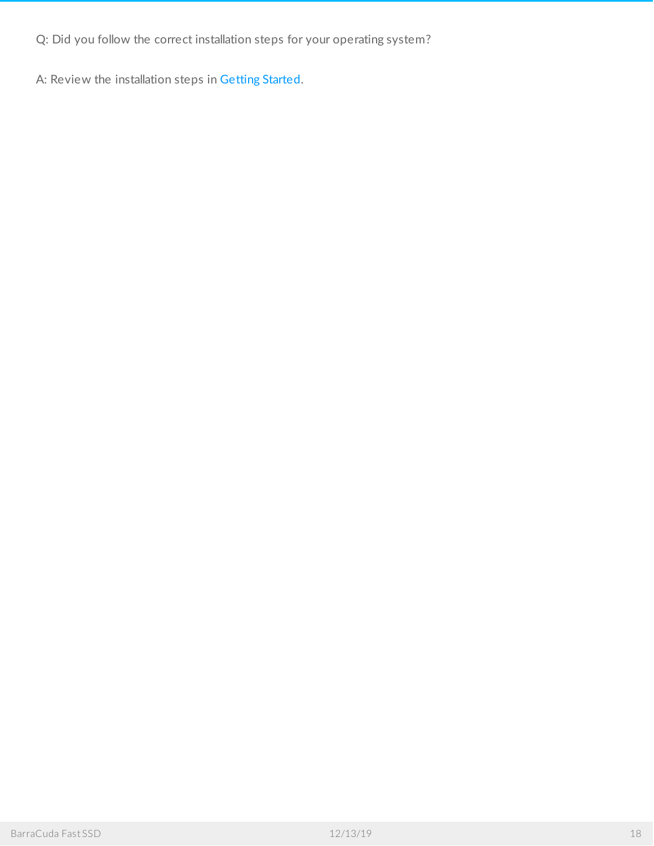Q: Did you follow the correct installation steps for your operating system?

A: Review the installation steps in [Getting](https://www.seagate.com/manuals/barracuda-fast-ssd/getting-started/) Started.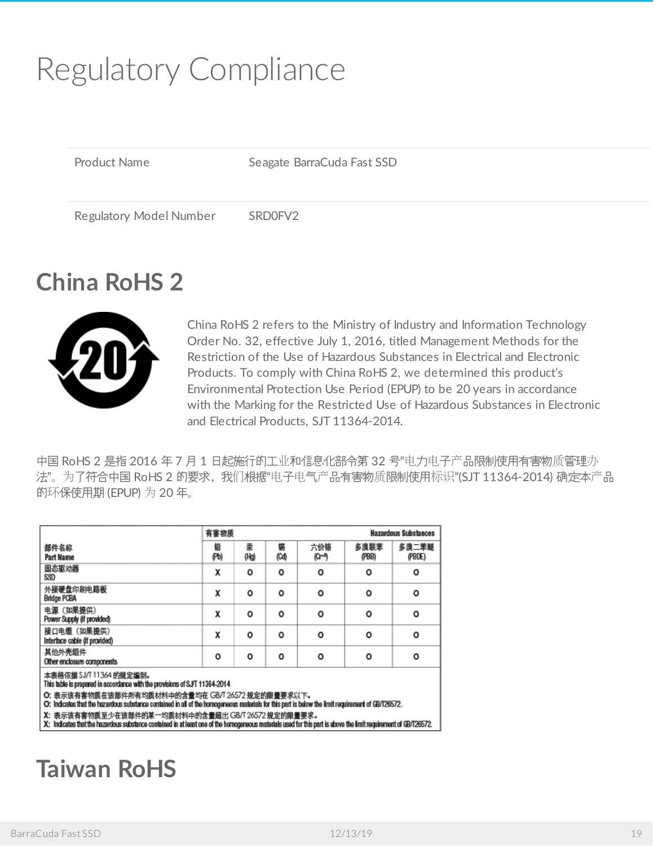# <span id="page-18-0"></span>Regulatory Compliance

Product Name Seagate BarraCuda Fast SSD

Regulatory Model Number SRD0FV2

# <span id="page-18-1"></span>**China RoHS 2**



China RoHS 2 refers to the Ministry of Industry and Information Technology Order No. 32, effective July 1, 2016, titled Management Methods for the Restriction of the Use of Hazardous Substances in Electrical and Electronic Products. To comply with China RoHS 2, we determined this product's Environmental Protection Use Period (EPUP) to be 20 years in accordance with the Marking for the Restricted Use of Hazardous Substances in Electronic and Electrical Products, SJT 11364-2014.

中国 RoHS 2 是指 2016 年 7 月 1 日起施行的工业和信息化部令第 32 号"电力电子产品限制使用有害物质管理办 法"。为了符合中国 RoHS 2 的要求,我们根据"电子电气产品有害物质限制使用标识"(SJT 11364-2014) 确定本产品 的环保使用期 (EPUP) 为 20 年。

|                                              |           | 有害物质      |           |              |               | <b>Hazardous Substances</b> |  |  |
|----------------------------------------------|-----------|-----------|-----------|--------------|---------------|-----------------------------|--|--|
| 部件名称<br>Part Name                            | 铅<br>(Pb) | 素<br>(Hg) | 鍢<br>(Cd) | 六价铬<br>(G+B) | 多溴联苯<br>(PBB) | 多溴二苯醚<br>(PBDE)             |  |  |
| 固态驱动器<br>SSD                                 | χ         | o         | ٥         | o            | o             | o                           |  |  |
| 外接硬盘印刷电路板<br><b>Bridge PCBA</b>              | χ         | o         | ٥         | o            | O             | O                           |  |  |
| 电源 (如果提供)<br>Power Supply (if provided)      | χ         | ٥         | ٥         | o            | o             | o                           |  |  |
| 接口电缆 (如果提供)<br>Interface cable (if provided) | x         | o         | ٥         | o            | o             | o                           |  |  |
| 其他外壳组件<br>Other enclosure components         | o         | o         | ٥         | o            | o             | o                           |  |  |

**:表格依据 SJ/T 11364 的规定编制。** 

This table is prepared in accordance with the provisions of SJ/T 11364-2014

O: 表示该有害物质在该部件所有均质材料中的含量均在 GB/T 26572 规定的限量要求以下。

O: Indicates that the hazardous substance contained in all of the homogeneous materials for this part is below the limit requirement of GB/T26572.

X: 表示该有害物质至少在该部件的某一均质材料中的含量超出 G8/T 26572 规定的限量要求。

X: Indicates that the hazardous substance contained in at least one of the homogeneous materials used for this part is above the limit requirement of GB/T26572.

### <span id="page-18-2"></span>**Taiwan RoHS**